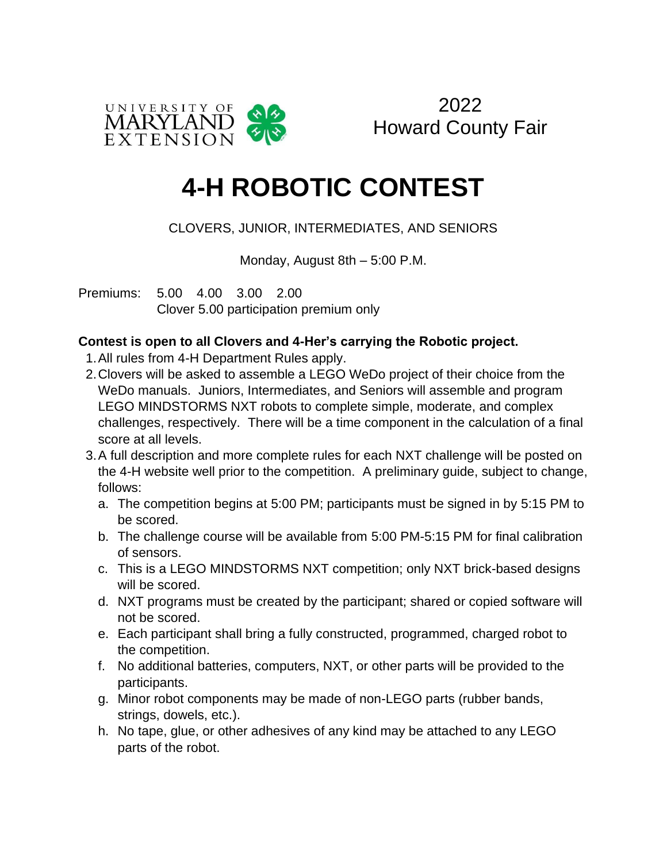

2022 Howard County Fair

## **4-H ROBOTIC CONTEST**

## CLOVERS, JUNIOR, INTERMEDIATES, AND SENIORS

Monday, August 8th – 5:00 P.M.

Premiums: 5.00 4.00 3.00 2.00 Clover 5.00 participation premium only

## **Contest is open to all Clovers and 4-Her's carrying the Robotic project.**

- 1.All rules from 4-H Department Rules apply.
- 2.Clovers will be asked to assemble a LEGO WeDo project of their choice from the WeDo manuals. Juniors, Intermediates, and Seniors will assemble and program LEGO MINDSTORMS NXT robots to complete simple, moderate, and complex challenges, respectively. There will be a time component in the calculation of a final score at all levels.
- 3.A full description and more complete rules for each NXT challenge will be posted on the 4-H website well prior to the competition. A preliminary guide, subject to change, follows:
	- a. The competition begins at 5:00 PM; participants must be signed in by 5:15 PM to be scored.
	- b. The challenge course will be available from 5:00 PM-5:15 PM for final calibration of sensors.
	- c. This is a LEGO MINDSTORMS NXT competition; only NXT brick-based designs will be scored.
	- d. NXT programs must be created by the participant; shared or copied software will not be scored.
	- e. Each participant shall bring a fully constructed, programmed, charged robot to the competition.
	- f. No additional batteries, computers, NXT, or other parts will be provided to the participants.
	- g. Minor robot components may be made of non-LEGO parts (rubber bands, strings, dowels, etc.).
	- h. No tape, glue, or other adhesives of any kind may be attached to any LEGO parts of the robot.